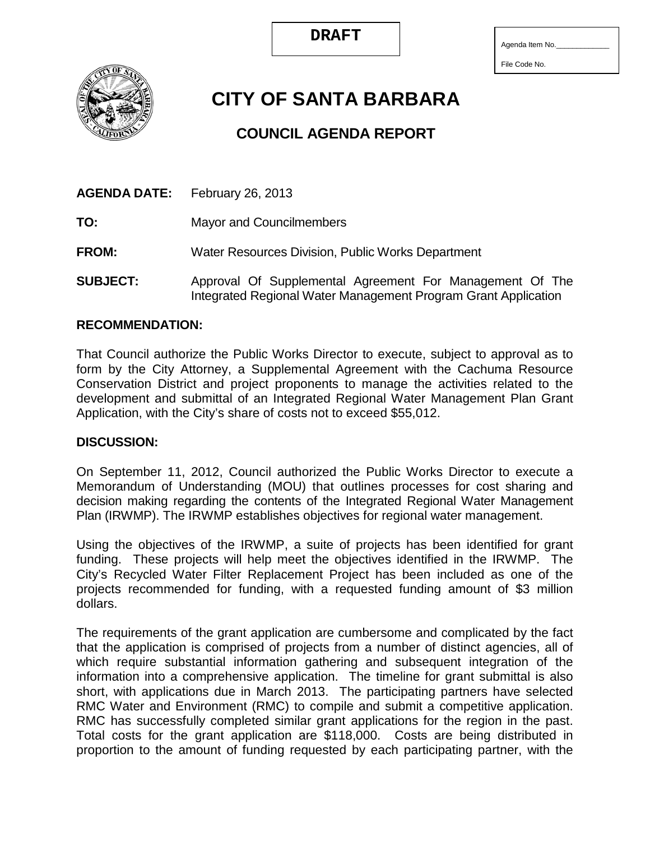| Agenda Item No. |  |  |  |
|-----------------|--|--|--|
|                 |  |  |  |

File Code No.



**CITY OF SANTA BARBARA**

## **COUNCIL AGENDA REPORT**

**AGENDA DATE:** February 26, 2013

**TO:** Mayor and Councilmembers

**FROM:** Water Resources Division, Public Works Department

**SUBJECT:** Approval Of Supplemental Agreement For Management Of The Integrated Regional Water Management Program Grant Application

## **RECOMMENDATION:**

That Council authorize the Public Works Director to execute, subject to approval as to form by the City Attorney, a Supplemental Agreement with the Cachuma Resource Conservation District and project proponents to manage the activities related to the development and submittal of an Integrated Regional Water Management Plan Grant Application, with the City's share of costs not to exceed \$55,012.

## **DISCUSSION:**

On September 11, 2012, Council authorized the Public Works Director to execute a Memorandum of Understanding (MOU) that outlines processes for cost sharing and decision making regarding the contents of the Integrated Regional Water Management Plan (IRWMP). The IRWMP establishes objectives for regional water management.

Using the objectives of the IRWMP, a suite of projects has been identified for grant funding. These projects will help meet the objectives identified in the IRWMP. The City's Recycled Water Filter Replacement Project has been included as one of the projects recommended for funding, with a requested funding amount of \$3 million dollars.

The requirements of the grant application are cumbersome and complicated by the fact that the application is comprised of projects from a number of distinct agencies, all of which require substantial information gathering and subsequent integration of the information into a comprehensive application. The timeline for grant submittal is also short, with applications due in March 2013. The participating partners have selected RMC Water and Environment (RMC) to compile and submit a competitive application. RMC has successfully completed similar grant applications for the region in the past. Total costs for the grant application are \$118,000. Costs are being distributed in proportion to the amount of funding requested by each participating partner, with the